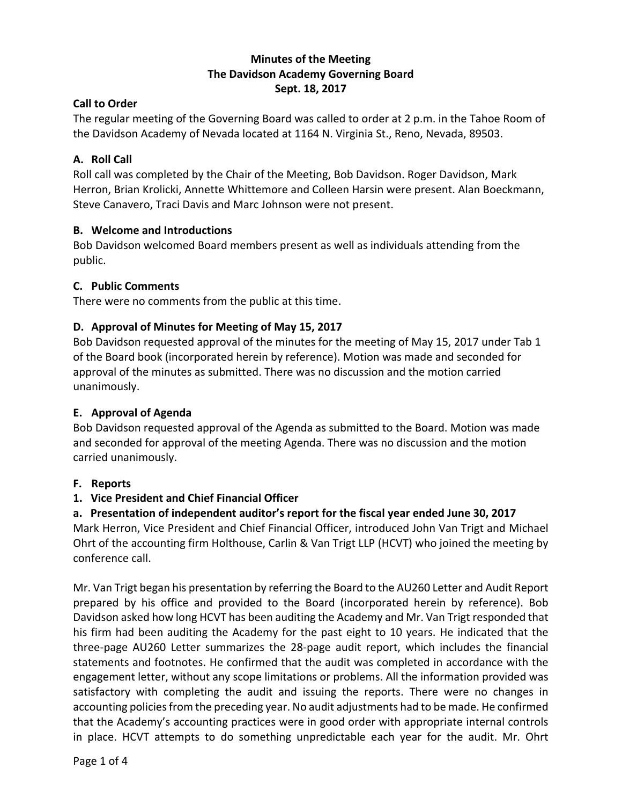## **Minutes of the Meeting The Davidson Academy Governing Board Sept. 18, 2017**

#### **Call to Order**

The regular meeting of the Governing Board was called to order at 2 p.m. in the Tahoe Room of the Davidson Academy of Nevada located at 1164 N. Virginia St., Reno, Nevada, 89503.

#### **A. Roll Call**

Roll call was completed by the Chair of the Meeting, Bob Davidson. Roger Davidson, Mark Herron, Brian Krolicki, Annette Whittemore and Colleen Harsin were present. Alan Boeckmann, Steve Canavero, Traci Davis and Marc Johnson were not present.

#### **B. Welcome and Introductions**

Bob Davidson welcomed Board members present as well as individuals attending from the public.

#### **C. Public Comments**

There were no comments from the public at this time.

### **D. Approval of Minutes for Meeting of May 15, 2017**

Bob Davidson requested approval of the minutes for the meeting of May 15, 2017 under Tab 1 of the Board book (incorporated herein by reference). Motion was made and seconded for approval of the minutes as submitted. There was no discussion and the motion carried unanimously.

### **E. Approval of Agenda**

Bob Davidson requested approval of the Agenda as submitted to the Board. Motion was made and seconded for approval of the meeting Agenda. There was no discussion and the motion carried unanimously.

#### **F. Reports**

#### **1. Vice President and Chief Financial Officer**

### **a. Presentation of independent auditor's report for the fiscal year ended June 30, 2017**

Mark Herron, Vice President and Chief Financial Officer, introduced John Van Trigt and Michael Ohrt of the accounting firm Holthouse, Carlin & Van Trigt LLP (HCVT) who joined the meeting by conference call.

Mr. Van Trigt began his presentation by referring the Board to the AU260 Letter and Audit Report prepared by his office and provided to the Board (incorporated herein by reference). Bob Davidson asked how long HCVT has been auditing the Academy and Mr. Van Trigt responded that his firm had been auditing the Academy for the past eight to 10 years. He indicated that the three-page AU260 Letter summarizes the 28-page audit report, which includes the financial statements and footnotes. He confirmed that the audit was completed in accordance with the engagement letter, without any scope limitations or problems. All the information provided was satisfactory with completing the audit and issuing the reports. There were no changes in accounting policies from the preceding year. No audit adjustments had to be made. He confirmed that the Academy's accounting practices were in good order with appropriate internal controls in place. HCVT attempts to do something unpredictable each year for the audit. Mr. Ohrt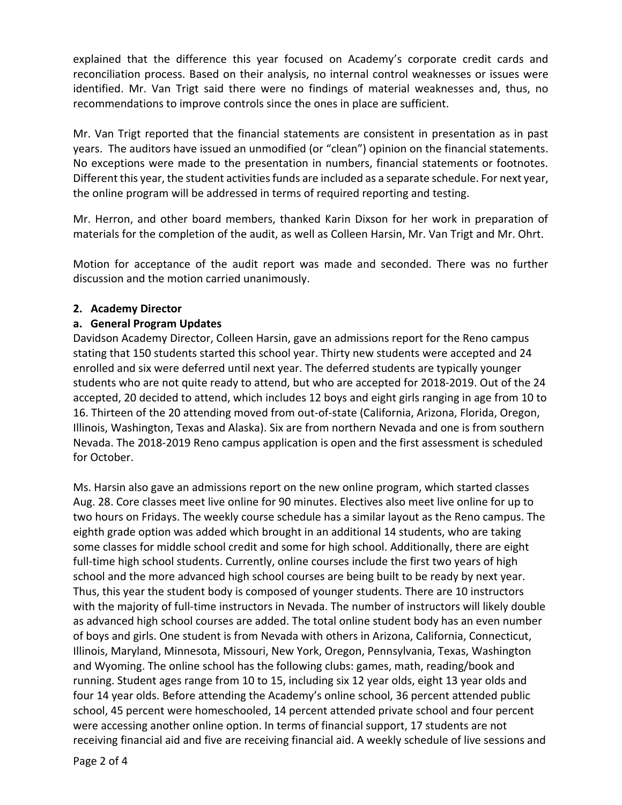explained that the difference this year focused on Academy's corporate credit cards and reconciliation process. Based on their analysis, no internal control weaknesses or issues were identified. Mr. Van Trigt said there were no findings of material weaknesses and, thus, no recommendations to improve controls since the ones in place are sufficient.

Mr. Van Trigt reported that the financial statements are consistent in presentation as in past years. The auditors have issued an unmodified (or "clean") opinion on the financial statements. No exceptions were made to the presentation in numbers, financial statements or footnotes. Different this year, the student activities funds are included as a separate schedule. For next year, the online program will be addressed in terms of required reporting and testing.

Mr. Herron, and other board members, thanked Karin Dixson for her work in preparation of materials for the completion of the audit, as well as Colleen Harsin, Mr. Van Trigt and Mr. Ohrt.

Motion for acceptance of the audit report was made and seconded. There was no further discussion and the motion carried unanimously.

#### **2. Academy Director**

### **a. General Program Updates**

Davidson Academy Director, Colleen Harsin, gave an admissions report for the Reno campus stating that 150 students started this school year. Thirty new students were accepted and 24 enrolled and six were deferred until next year. The deferred students are typically younger students who are not quite ready to attend, but who are accepted for 2018-2019. Out of the 24 accepted, 20 decided to attend, which includes 12 boys and eight girls ranging in age from 10 to 16. Thirteen of the 20 attending moved from out-of-state (California, Arizona, Florida, Oregon, Illinois, Washington, Texas and Alaska). Six are from northern Nevada and one is from southern Nevada. The 2018-2019 Reno campus application is open and the first assessment is scheduled for October.

Ms. Harsin also gave an admissions report on the new online program, which started classes Aug. 28. Core classes meet live online for 90 minutes. Electives also meet live online for up to two hours on Fridays. The weekly course schedule has a similar layout as the Reno campus. The eighth grade option was added which brought in an additional 14 students, who are taking some classes for middle school credit and some for high school. Additionally, there are eight full-time high school students. Currently, online courses include the first two years of high school and the more advanced high school courses are being built to be ready by next year. Thus, this year the student body is composed of younger students. There are 10 instructors with the majority of full-time instructors in Nevada. The number of instructors will likely double as advanced high school courses are added. The total online student body has an even number of boys and girls. One student is from Nevada with others in Arizona, California, Connecticut, Illinois, Maryland, Minnesota, Missouri, New York, Oregon, Pennsylvania, Texas, Washington and Wyoming. The online school has the following clubs: games, math, reading/book and running. Student ages range from 10 to 15, including six 12 year olds, eight 13 year olds and four 14 year olds. Before attending the Academy's online school, 36 percent attended public school, 45 percent were homeschooled, 14 percent attended private school and four percent were accessing another online option. In terms of financial support, 17 students are not receiving financial aid and five are receiving financial aid. A weekly schedule of live sessions and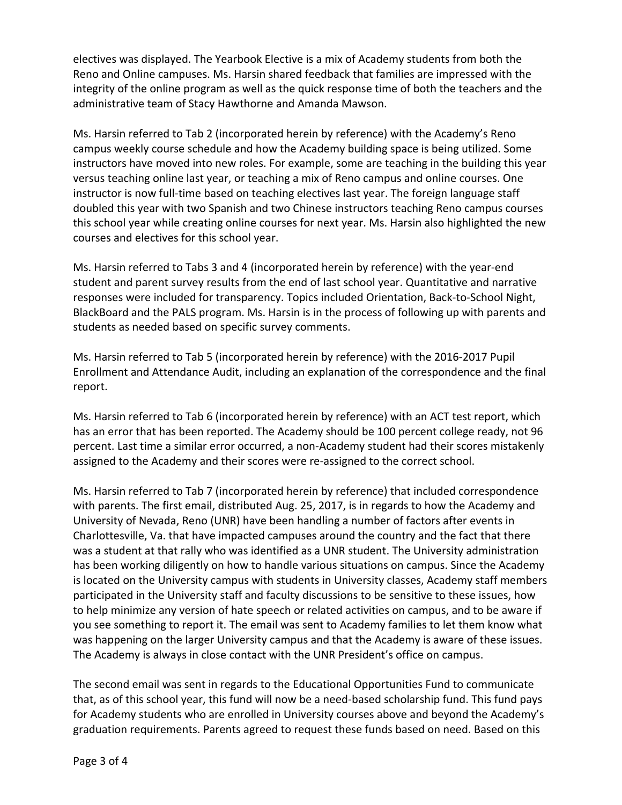electives was displayed. The Yearbook Elective is a mix of Academy students from both the Reno and Online campuses. Ms. Harsin shared feedback that families are impressed with the integrity of the online program as well as the quick response time of both the teachers and the administrative team of Stacy Hawthorne and Amanda Mawson.

Ms. Harsin referred to Tab 2 (incorporated herein by reference) with the Academy's Reno campus weekly course schedule and how the Academy building space is being utilized. Some instructors have moved into new roles. For example, some are teaching in the building this year versus teaching online last year, or teaching a mix of Reno campus and online courses. One instructor is now full-time based on teaching electives last year. The foreign language staff doubled this year with two Spanish and two Chinese instructors teaching Reno campus courses this school year while creating online courses for next year. Ms. Harsin also highlighted the new courses and electives for this school year.

Ms. Harsin referred to Tabs 3 and 4 (incorporated herein by reference) with the year-end student and parent survey results from the end of last school year. Quantitative and narrative responses were included for transparency. Topics included Orientation, Back-to-School Night, BlackBoard and the PALS program. Ms. Harsin is in the process of following up with parents and students as needed based on specific survey comments.

Ms. Harsin referred to Tab 5 (incorporated herein by reference) with the 2016-2017 Pupil Enrollment and Attendance Audit, including an explanation of the correspondence and the final report.

Ms. Harsin referred to Tab 6 (incorporated herein by reference) with an ACT test report, which has an error that has been reported. The Academy should be 100 percent college ready, not 96 percent. Last time a similar error occurred, a non-Academy student had their scores mistakenly assigned to the Academy and their scores were re-assigned to the correct school.

Ms. Harsin referred to Tab 7 (incorporated herein by reference) that included correspondence with parents. The first email, distributed Aug. 25, 2017, is in regards to how the Academy and University of Nevada, Reno (UNR) have been handling a number of factors after events in Charlottesville, Va. that have impacted campuses around the country and the fact that there was a student at that rally who was identified as a UNR student. The University administration has been working diligently on how to handle various situations on campus. Since the Academy is located on the University campus with students in University classes, Academy staff members participated in the University staff and faculty discussions to be sensitive to these issues, how to help minimize any version of hate speech or related activities on campus, and to be aware if you see something to report it. The email was sent to Academy families to let them know what was happening on the larger University campus and that the Academy is aware of these issues. The Academy is always in close contact with the UNR President's office on campus.

The second email was sent in regards to the Educational Opportunities Fund to communicate that, as of this school year, this fund will now be a need-based scholarship fund. This fund pays for Academy students who are enrolled in University courses above and beyond the Academy's graduation requirements. Parents agreed to request these funds based on need. Based on this